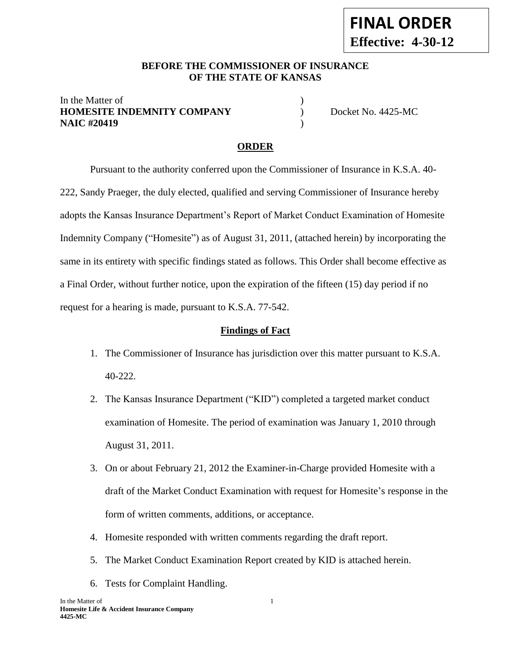#### **BEFORE THE COMMISSIONER OF INSURANCE OF THE STATE OF KANSAS --12**

#### In the Matter of **HOMESITE INDEMNITY COMPANY** Docket No. 4425-MC **NAIC #20419** )

# **ORDER**

Pursuant to the authority conferred upon the Commissioner of Insurance in K.S.A. 40- 222, Sandy Praeger, the duly elected, qualified and serving Commissioner of Insurance hereby adopts the Kansas Insurance Department's Report of Market Conduct Examination of Homesite Indemnity Company ("Homesite") as of August 31, 2011, (attached herein) by incorporating the same in its entirety with specific findings stated as follows. This Order shall become effective as a Final Order, without further notice, upon the expiration of the fifteen (15) day period if no request for a hearing is made, pursuant to K.S.A. 77-542.

#### **Findings of Fact**

- 1. The Commissioner of Insurance has jurisdiction over this matter pursuant to K.S.A. 40-222.
- 2. The Kansas Insurance Department ("KID") completed a targeted market conduct examination of Homesite. The period of examination was January 1, 2010 through August 31, 2011.
- 3. On or about February 21, 2012 the Examiner-in-Charge provided Homesite with a draft of the Market Conduct Examination with request for Homesite's response in the form of written comments, additions, or acceptance.
- 4. Homesite responded with written comments regarding the draft report.
- 5. The Market Conduct Examination Report created by KID is attached herein.
- 6. Tests for Complaint Handling.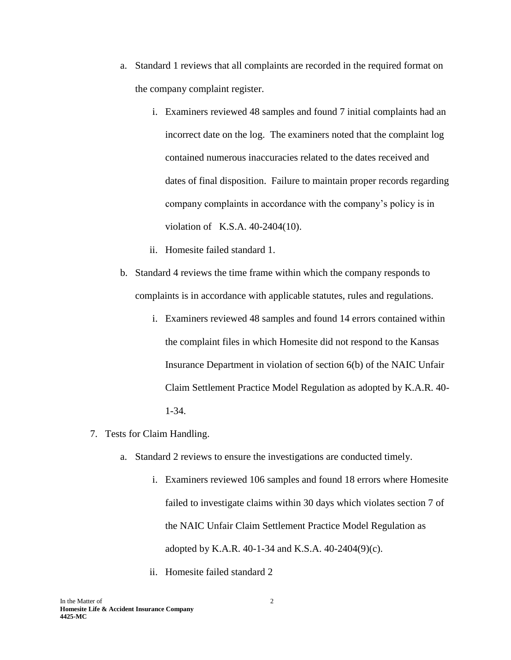- a. Standard 1 reviews that all complaints are recorded in the required format on the company complaint register.
	- i. Examiners reviewed 48 samples and found 7 initial complaints had an incorrect date on the log. The examiners noted that the complaint log contained numerous inaccuracies related to the dates received and dates of final disposition. Failure to maintain proper records regarding company complaints in accordance with the company's policy is in violation of K.S.A. 40-2404(10).
	- ii. Homesite failed standard 1.
- b. Standard 4 reviews the time frame within which the company responds to complaints is in accordance with applicable statutes, rules and regulations.
	- i. Examiners reviewed 48 samples and found 14 errors contained within the complaint files in which Homesite did not respond to the Kansas Insurance Department in violation of section 6(b) of the NAIC Unfair Claim Settlement Practice Model Regulation as adopted by K.A.R. 40- 1-34.
- 7. Tests for Claim Handling.
	- a. Standard 2 reviews to ensure the investigations are conducted timely.
		- i. Examiners reviewed 106 samples and found 18 errors where Homesite failed to investigate claims within 30 days which violates section 7 of the NAIC Unfair Claim Settlement Practice Model Regulation as adopted by K.A.R. 40-1-34 and K.S.A. 40-2404(9)(c).
		- ii. Homesite failed standard 2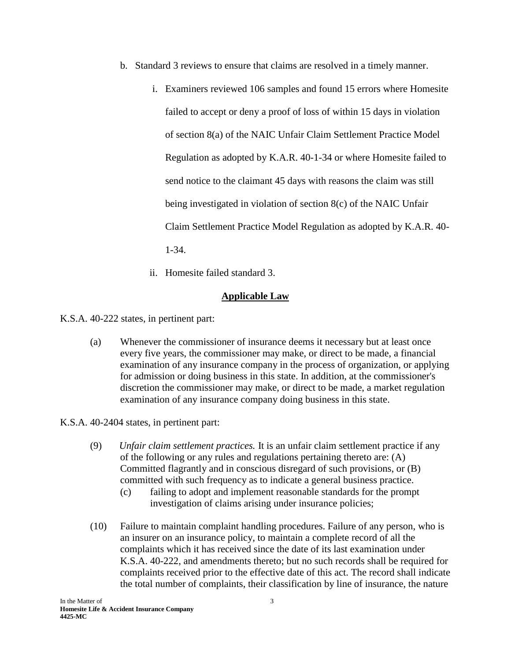- b. Standard 3 reviews to ensure that claims are resolved in a timely manner.
	- i. Examiners reviewed 106 samples and found 15 errors where Homesite failed to accept or deny a proof of loss of within 15 days in violation of section 8(a) of the NAIC Unfair Claim Settlement Practice Model Regulation as adopted by K.A.R. 40-1-34 or where Homesite failed to send notice to the claimant 45 days with reasons the claim was still being investigated in violation of section 8(c) of the NAIC Unfair Claim Settlement Practice Model Regulation as adopted by K.A.R. 40- 1-34.
	- ii. Homesite failed standard 3.

## **Applicable Law**

K.S.A. 40-222 states, in pertinent part:

(a) Whenever the commissioner of insurance deems it necessary but at least once every five years, the commissioner may make, or direct to be made, a financial examination of any insurance company in the process of organization, or applying for admission or doing business in this state. In addition, at the commissioner's discretion the commissioner may make, or direct to be made, a market regulation examination of any insurance company doing business in this state.

K.S.A. 40-2404 states, in pertinent part:

- (9) *Unfair claim settlement practices.* It is an unfair claim settlement practice if any of the following or any rules and regulations pertaining thereto are: (A) Committed flagrantly and in conscious disregard of such provisions, or (B) committed with such frequency as to indicate a general business practice.
	- (c) failing to adopt and implement reasonable standards for the prompt investigation of claims arising under insurance policies;
- (10) Failure to maintain complaint handling procedures. Failure of any person, who is an insurer on an insurance policy, to maintain a complete record of all the complaints which it has received since the date of its last examination under K.S.A. 40-222, and amendments thereto; but no such records shall be required for complaints received prior to the effective date of this act. The record shall indicate the total number of complaints, their classification by line of insurance, the nature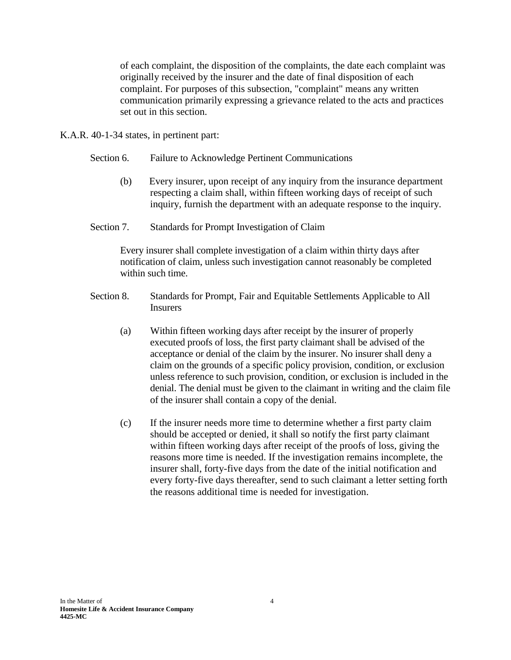of each complaint, the disposition of the complaints, the date each complaint was originally received by the insurer and the date of final disposition of each complaint. For purposes of this subsection, "complaint" means any written communication primarily expressing a grievance related to the acts and practices set out in this section.

K.A.R. 40-1-34 states, in pertinent part:

- Section 6. Failure to Acknowledge Pertinent Communications
	- (b) Every insurer, upon receipt of any inquiry from the insurance department respecting a claim shall, within fifteen working days of receipt of such inquiry, furnish the department with an adequate response to the inquiry.
- Section 7. Standards for Prompt Investigation of Claim

Every insurer shall complete investigation of a claim within thirty days after notification of claim, unless such investigation cannot reasonably be completed within such time.

- Section 8. Standards for Prompt, Fair and Equitable Settlements Applicable to All Insurers
	- (a) Within fifteen working days after receipt by the insurer of properly executed proofs of loss, the first party claimant shall be advised of the acceptance or denial of the claim by the insurer. No insurer shall deny a claim on the grounds of a specific policy provision, condition, or exclusion unless reference to such provision, condition, or exclusion is included in the denial. The denial must be given to the claimant in writing and the claim file of the insurer shall contain a copy of the denial.
	- (c) If the insurer needs more time to determine whether a first party claim should be accepted or denied, it shall so notify the first party claimant within fifteen working days after receipt of the proofs of loss, giving the reasons more time is needed. If the investigation remains incomplete, the insurer shall, forty-five days from the date of the initial notification and every forty-five days thereafter, send to such claimant a letter setting forth the reasons additional time is needed for investigation.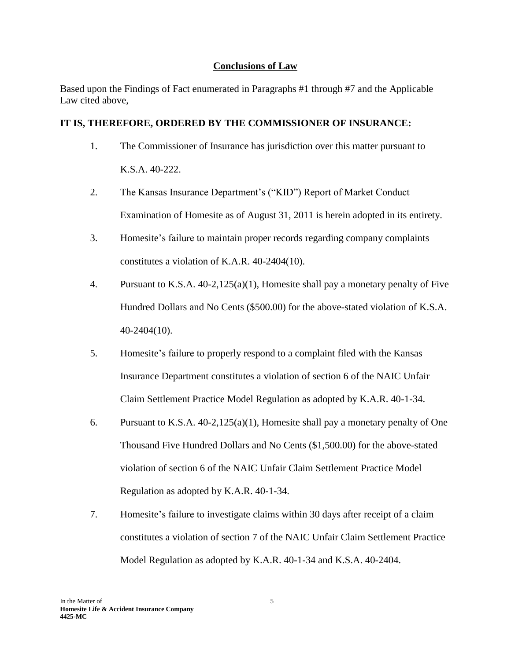## **Conclusions of Law**

Based upon the Findings of Fact enumerated in Paragraphs #1 through #7 and the Applicable Law cited above,

# **IT IS, THEREFORE, ORDERED BY THE COMMISSIONER OF INSURANCE:**

- 1. The Commissioner of Insurance has jurisdiction over this matter pursuant to K.S.A. 40-222.
- 2. The Kansas Insurance Department's ("KID") Report of Market Conduct Examination of Homesite as of August 31, 2011 is herein adopted in its entirety.
- 3. Homesite's failure to maintain proper records regarding company complaints constitutes a violation of K.A.R. 40-2404(10).
- 4. Pursuant to K.S.A. 40-2,125(a)(1), Homesite shall pay a monetary penalty of Five Hundred Dollars and No Cents (\$500.00) for the above-stated violation of K.S.A. 40-2404(10).
- 5. Homesite's failure to properly respond to a complaint filed with the Kansas Insurance Department constitutes a violation of section 6 of the NAIC Unfair Claim Settlement Practice Model Regulation as adopted by K.A.R. 40-1-34.
- 6. Pursuant to K.S.A. 40-2,125(a)(1), Homesite shall pay a monetary penalty of One Thousand Five Hundred Dollars and No Cents (\$1,500.00) for the above-stated violation of section 6 of the NAIC Unfair Claim Settlement Practice Model Regulation as adopted by K.A.R. 40-1-34.
- 7. Homesite's failure to investigate claims within 30 days after receipt of a claim constitutes a violation of section 7 of the NAIC Unfair Claim Settlement Practice Model Regulation as adopted by K.A.R. 40-1-34 and K.S.A. 40-2404.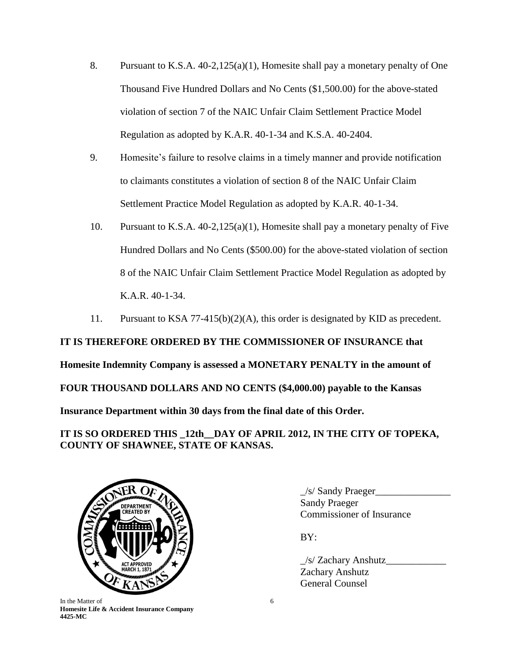- 8. Pursuant to K.S.A. 40-2,125(a)(1), Homesite shall pay a monetary penalty of One Thousand Five Hundred Dollars and No Cents (\$1,500.00) for the above-stated violation of section 7 of the NAIC Unfair Claim Settlement Practice Model Regulation as adopted by K.A.R. 40-1-34 and K.S.A. 40-2404.
- 9. Homesite's failure to resolve claims in a timely manner and provide notification to claimants constitutes a violation of section 8 of the NAIC Unfair Claim Settlement Practice Model Regulation as adopted by K.A.R. 40-1-34.
- 10. Pursuant to K.S.A. 40-2,125(a)(1), Homesite shall pay a monetary penalty of Five Hundred Dollars and No Cents (\$500.00) for the above-stated violation of section 8 of the NAIC Unfair Claim Settlement Practice Model Regulation as adopted by K.A.R. 40-1-34.
- 11. Pursuant to KSA 77-415(b)(2)(A), this order is designated by KID as precedent.

**IT IS THEREFORE ORDERED BY THE COMMISSIONER OF INSURANCE that Homesite Indemnity Company is assessed a MONETARY PENALTY in the amount of FOUR THOUSAND DOLLARS AND NO CENTS (\$4,000.00) payable to the Kansas Insurance Department within 30 days from the final date of this Order.** 

**IT IS SO ORDERED THIS \_12th\_\_DAY OF APRIL 2012, IN THE CITY OF TOPEKA, COUNTY OF SHAWNEE, STATE OF KANSAS.**



In the Matter of 6 **Homesite Life & Accident Insurance Company 4425-MC**

 $\angle$ s/ Sandy Praeger $\angle$ Sandy Praeger Commissioner of Insurance

BY:

 $\frac{1}{s}$  Zachary Anshutz Zachary Anshutz General Counsel